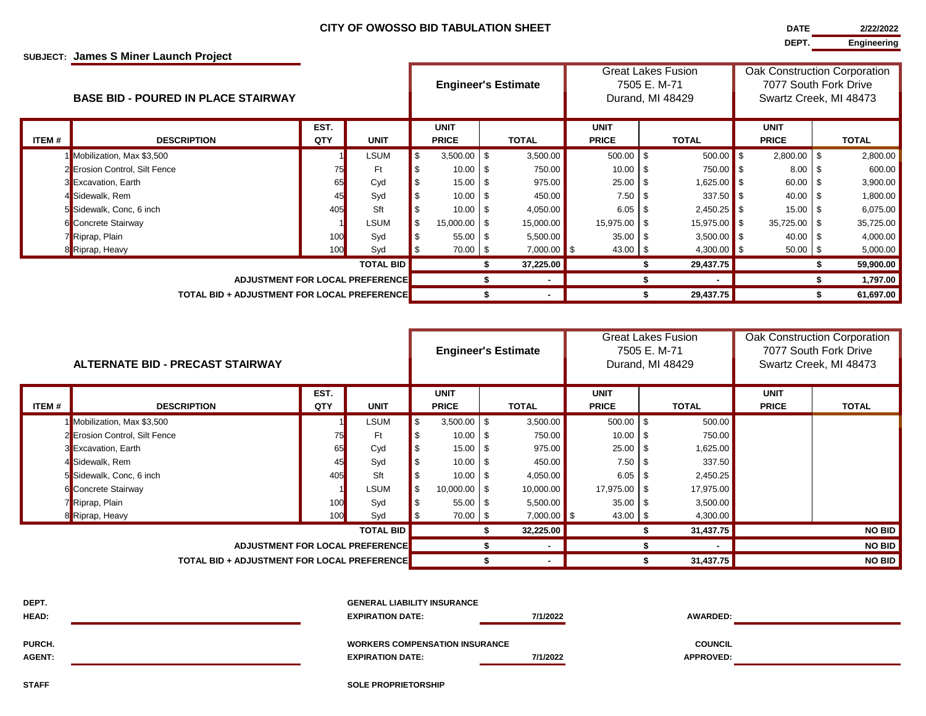## **SUBJECT: James S Miner Launch Project**

| <b>DAIL</b> | 212212022   |
|-------------|-------------|
|             |             |
| DEPT.       | Engineering |

| <b>BASE BID - POURED IN PLACE STAIRWAY</b> |                                                    |             |             |      | <b>Engineer's Estimate</b>  |    | <b>Great Lakes Fusion</b><br>7505 E. M-71<br>Durand, MI 48429 |  |                             |  | Oak Construction Corporation<br>7077 South Fork Drive<br>Swartz Creek, MI 48473 |  |                             |  |              |
|--------------------------------------------|----------------------------------------------------|-------------|-------------|------|-----------------------------|----|---------------------------------------------------------------|--|-----------------------------|--|---------------------------------------------------------------------------------|--|-----------------------------|--|--------------|
| ITEM #                                     | <b>DESCRIPTION</b>                                 | EST.<br>QTY | <b>UNIT</b> |      | <b>UNIT</b><br><b>PRICE</b> |    | <b>TOTAL</b>                                                  |  | <b>UNIT</b><br><b>PRICE</b> |  | <b>TOTAL</b>                                                                    |  | <b>UNIT</b><br><b>PRICE</b> |  | <b>TOTAL</b> |
|                                            |                                                    |             |             | l \$ | $3,500.00$ \$               |    | 3,500.00                                                      |  | $500.00$ \$                 |  | $500.00$ \$                                                                     |  | $2,800.00$ \$               |  |              |
|                                            | 1 Mobilization, Max \$3,500                        |             | LSUM        |      |                             |    |                                                               |  |                             |  |                                                                                 |  |                             |  | 2,800.00     |
|                                            | 2 Erosion Control, Silt Fence                      | 75          | Ft          |      | $10.00$ \$                  |    | 750.00                                                        |  | $10.00$ \ \$                |  | 750.00 \$                                                                       |  | $8.00_{5}$                  |  | 600.00       |
|                                            | 3 Excavation, Earth                                | 65          | Cyd         |      | $15.00$ \ \$                |    | 975.00                                                        |  | $25.00$ \ \$                |  | $1,625.00$ \$                                                                   |  | $60.00$ \$                  |  | 3,900.00     |
|                                            | 4 Sidewalk, Rem                                    | 45          | Syd         |      | $10.00$ \ \$                |    | 450.00                                                        |  | $7.50$ \$                   |  | $337.50$ \$                                                                     |  | $40.00$   \$                |  | 1,800.00     |
|                                            | 5 Sidewalk, Conc, 6 inch                           | 405         | Sft         |      | $10.00$ \ \$                |    | 4,050.00                                                      |  | $6.05$ \ \ \$               |  | $2,450.25$ \$                                                                   |  | $15.00$   \$                |  | 6,075.00     |
|                                            | 6 Concrete Stairway                                |             | LSUM        |      | 15,000.00 \$                |    | 15,000.00                                                     |  | 15,975.00 \$                |  | $15,975.00$ \$                                                                  |  | 35,725.00 \$                |  | 35,725.00    |
|                                            | 7 Riprap, Plain                                    | 100         | Syd         |      | $55.00$ \ \$                |    | 5,500.00                                                      |  | $35.00$ \ \$                |  | $3,500.00$ \$                                                                   |  | $40.00$ \ \$                |  | 4,000.00     |
|                                            | 8 Riprap, Heavy                                    | 100         | Syd         | l \$ | $70.00$   \$                |    | $7,000.00$ \$                                                 |  | $43.00$ \ \ \$              |  | 4,300.00 $\frac{1}{3}$                                                          |  | $50.00$ \$                  |  | 5,000.00     |
| <b>TOTAL BID</b>                           |                                                    |             |             |      |                             | \$ | 37,225.00                                                     |  |                             |  | 29,437.75                                                                       |  |                             |  | 59,900.00    |
| <b>ADJUSTMENT FOR LOCAL PREFERENCE</b>     |                                                    |             |             |      |                             |    |                                                               |  |                             |  | ۰                                                                               |  |                             |  | 1,797.00     |
|                                            | <b>TOTAL BID + ADJUSTMENT FOR LOCAL PREFERENCE</b> |             |             |      |                             |    |                                                               |  |                             |  | 29,437.75                                                                       |  |                             |  | 61,697.00    |

| ALTERNATE BID - PRECAST STAIRWAY |                                                     |             |             |          |                             | <b>Engineer's Estimate</b> | <b>Great Lakes Fusion</b><br>7505 E. M-71<br>Durand, MI 48429 |  |                             |  | Oak Construction Corporation<br>7077 South Fork Drive<br>Swartz Creek, MI 48473 |                             |               |
|----------------------------------|-----------------------------------------------------|-------------|-------------|----------|-----------------------------|----------------------------|---------------------------------------------------------------|--|-----------------------------|--|---------------------------------------------------------------------------------|-----------------------------|---------------|
| ITEM #                           | <b>DESCRIPTION</b>                                  | EST.<br>QTY | <b>UNIT</b> |          | <b>UNIT</b><br><b>PRICE</b> |                            | <b>TOTAL</b>                                                  |  | <b>UNIT</b><br><b>PRICE</b> |  | <b>TOTAL</b>                                                                    | <b>UNIT</b><br><b>PRICE</b> | TOTAL         |
|                                  |                                                     |             | LSUM        | <b>S</b> | $3,500.00$ \$               |                            | 3,500.00                                                      |  | $500.00$ \ \$               |  | 500.00                                                                          |                             |               |
|                                  | 1 Mobilization, Max \$3,500                         |             |             |          |                             |                            |                                                               |  |                             |  |                                                                                 |                             |               |
|                                  | 2 Erosion Control, Silt Fence                       | 75          | Ft          |          | $10.00$ \ \$                |                            | 750.00                                                        |  | $10.00$ \ \$                |  | 750.00                                                                          |                             |               |
|                                  | 3 Excavation, Earth                                 | 65          | Cyd         |          | $15.00$ \ \$                |                            | 975.00                                                        |  |                             |  | 1,625.00                                                                        |                             |               |
|                                  | 4 Sidewalk, Rem                                     | 45          | Syd         |          | $10.00$ \ \$                |                            | 450.00                                                        |  |                             |  | 337.50                                                                          |                             |               |
|                                  | 5 Sidewalk, Conc, 6 inch                            | 405         | Sft         |          | $10.00$   \$                |                            | 4,050.00                                                      |  |                             |  | 2,450.25                                                                        |                             |               |
|                                  | 6 Concrete Stairway                                 |             | LSUM        | \$       | 10,000.00 \$                |                            | 10,000.00                                                     |  | 17,975.00 \$                |  | 17,975.00                                                                       |                             |               |
|                                  | 7 Riprap, Plain                                     | 100         | Syd         |          | $55.00$ \ \$                |                            | 5,500.00                                                      |  | $35.00$ \$                  |  | 3,500.00                                                                        |                             |               |
|                                  | 8 Riprap, Heavy                                     | 100         | Syd         |          | $70.00$ \$                  |                            | $7,000.00$ \$                                                 |  | $43.00$ \$                  |  | 4,300.00                                                                        |                             |               |
| <b>TOTAL BID</b>                 |                                                     |             |             |          |                             |                            | 32,225.00                                                     |  |                             |  | 31,437.75                                                                       |                             | <b>NO BID</b> |
| ADJUSTMENT FOR LOCAL PREFERENCE  |                                                     |             |             |          |                             |                            | $\sim$                                                        |  |                             |  |                                                                                 |                             | <b>NO BID</b> |
|                                  | <b>TOTAL BID + ADJUSTMENT FOR LOCAL PREFERENCE.</b> |             |             |          |                             |                            |                                                               |  |                             |  | 31,437.75                                                                       |                             | <b>NO BID</b> |

| DEPT.<br><b>HEAD:</b>   | <b>GENERAL LIABILITY INSURANCE</b><br><b>EXPIRATION DATE:</b>    | 7/1/2022 | <b>AWARDED:</b>                    |  |
|-------------------------|------------------------------------------------------------------|----------|------------------------------------|--|
| PURCH.<br><b>AGENT:</b> | <b>WORKERS COMPENSATION INSURANCE</b><br><b>EXPIRATION DATE:</b> | 7/1/2022 | <b>COUNCIL</b><br><b>APPROVED:</b> |  |

**STAFF SOLE PROPRIETORSHIP**